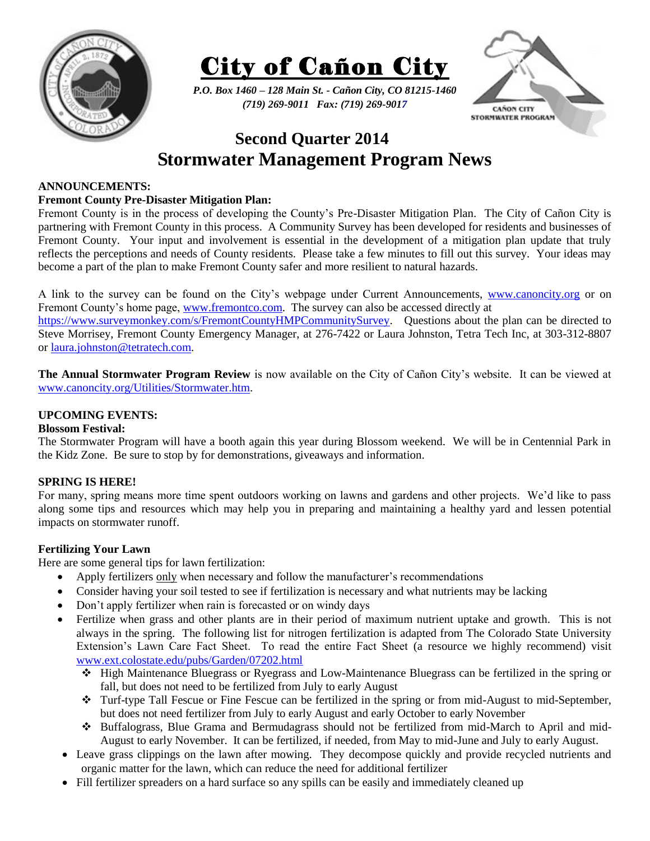



*P.O. Box 1460 – 128 Main St. - Cañon City, CO 81215-1460 (719) 269-9011 Fax: (719) 269-9017*



# **Second Quarter 2014 Stormwater Management Program News**

## **ANNOUNCEMENTS:**

## **Fremont County Pre-Disaster Mitigation Plan:**

Fremont County is in the process of developing the County's Pre-Disaster Mitigation Plan. The City of Cañon City is partnering with Fremont County in this process. A Community Survey has been developed for residents and businesses of Fremont County. Your input and involvement is essential in the development of a mitigation plan update that truly reflects the perceptions and needs of County residents. Please take a few minutes to fill out this survey. Your ideas may become a part of the plan to make Fremont County safer and more resilient to natural hazards.

A link to the survey can be found on the City's webpage under Current Announcements, [www.canoncity.org](http://www.canoncity.org/) or on Fremont County's home page, [www.fremontco.com.](http://www.fremontco.com/) The survey can also be accessed directly at

[https://www.surveymonkey.com/s/FremontCountyHMPCommunitySurvey.](https://www.surveymonkey.com/s/FremontCountyHMPCommunitySurvey) Questions about the plan can be directed to Steve Morrisey, Fremont County Emergency Manager, at 276-7422 or Laura Johnston, Tetra Tech Inc, at 303-312-8807 or [laura.johnston@tetratech.com.](mailto:laura.johnston@tetratech.com)

**The Annual Stormwater Program Review** is now available on the City of Cañon City's website. It can be viewed at [www.canoncity.org/Utilities/Stormwater.htm.](http://www.canoncity.org/Utilities/Stormwater.htm)

## **UPCOMING EVENTS:**

### **Blossom Festival:**

The Stormwater Program will have a booth again this year during Blossom weekend. We will be in Centennial Park in the Kidz Zone. Be sure to stop by for demonstrations, giveaways and information.

## **SPRING IS HERE!**

For many, spring means more time spent outdoors working on lawns and gardens and other projects. We'd like to pass along some tips and resources which may help you in preparing and maintaining a healthy yard and lessen potential impacts on stormwater runoff.

### **Fertilizing Your Lawn**

Here are some general tips for lawn fertilization:

- Apply fertilizers only when necessary and follow the manufacturer's recommendations
- Consider having your soil tested to see if fertilization is necessary and what nutrients may be lacking
- Don't apply fertilizer when rain is forecasted or on windy days
- Fertilize when grass and other plants are in their period of maximum nutrient uptake and growth. This is not always in the spring. The following list for nitrogen fertilization is adapted from The Colorado State University Extension's Lawn Care Fact Sheet. To read the entire Fact Sheet (a resource we highly recommend) visit [www.ext.colostate.edu/pubs/Garden/07202.html](http://www.ext.colostate.edu/pubs/Garden/07202.html)
	- High Maintenance Bluegrass or Ryegrass and Low-Maintenance Bluegrass can be fertilized in the spring or fall, but does not need to be fertilized from July to early August
	- Turf-type Tall Fescue or Fine Fescue can be fertilized in the spring or from mid-August to mid-September, but does not need fertilizer from July to early August and early October to early November
	- Buffalograss, Blue Grama and Bermudagrass should not be fertilized from mid-March to April and mid-August to early November. It can be fertilized, if needed, from May to mid-June and July to early August.
- Leave grass clippings on the lawn after mowing. They decompose quickly and provide recycled nutrients and organic matter for the lawn, which can reduce the need for additional fertilizer
- Fill fertilizer spreaders on a hard surface so any spills can be easily and immediately cleaned up